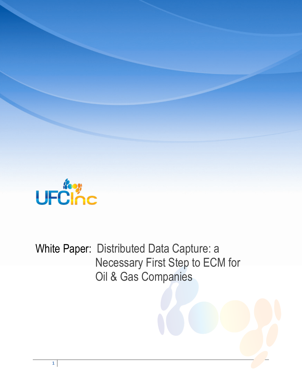

White Paper: Distributed Data Capture: a Necessary First Step to ECM for Oil & Gas Companies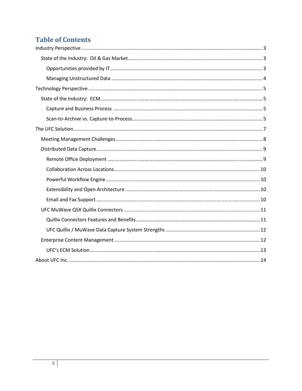# **Table of Contents**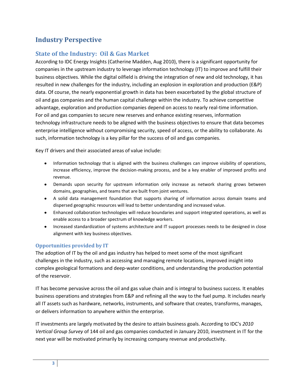# <span id="page-2-0"></span>**Industry Perspective**

### <span id="page-2-1"></span>**State of the Industry: Oil & Gas Market**

According to IDC Energy Insights (Catherine Madden, Aug 2010), there is a significant opportunity for companies in the upstream industry to leverage information technology (IT) to improve and fulfill their business objectives. While the digital oilfield is driving the integration of new and old technology, it has resulted in new challenges for the industry, including an explosion in exploration and production (E&P) data. Of course, the nearly exponential growth in data has been exacerbated by the global structure of oil and gas companies and the human capital challenge within the industry. To achieve competitive advantage, exploration and production companies depend on access to nearly real-time information. For oil and gas companies to secure new reserves and enhance existing reserves, information technology infrastructure needs to be aligned with the business objectives to ensure that data becomes enterprise intelligence without compromising security, speed of access, or the ability to collaborate. As such, information technology is a key pillar for the success of oil and gas companies.

Key IT drivers and their associated areas of value include:

- Information technology that is aligned with the business challenges can improve visibility of operations, increase efficiency, improve the decision-making process, and be a key enabler of improved profits and revenue.
- Demands upon security for upstream information only increase as network sharing grows between domains, geographies, and teams that are built from joint ventures.
- A solid data management foundation that supports sharing of information across domain teams and dispersed geographic resources will lead to better understanding and increased value.
- Enhanced collaboration technologies will reduce boundaries and support integrated operations, as well as enable access to a broader spectrum of knowledge workers.
- Increased standardization of systems architecture and IT support processes needs to be designed in close alignment with key business objectives.

### <span id="page-2-2"></span>**Opportunities provided by IT**

The adoption of IT by the oil and gas industry has helped to meet some of the most significant challenges in the industry, such as accessing and managing remote locations, improved insight into complex geological formations and deep-water conditions, and understanding the production potential of the reservoir.

IT has become pervasive across the oil and gas value chain and is integral to business success. It enables business operations and strategies from E&P and refining all the way to the fuel pump. It includes nearly all IT assets such as hardware, networks, instruments, and software that creates, transforms, manages, or delivers information to anywhere within the enterprise.

IT investments are largely motivated by the desire to attain business goals. Ac*co*rding to IDC's *2010 Vertical Group Survey* of 144 oil and gas companies conducted in January 2010, investment in IT for the next year will be motivated primarily by increasing company revenue and productivity.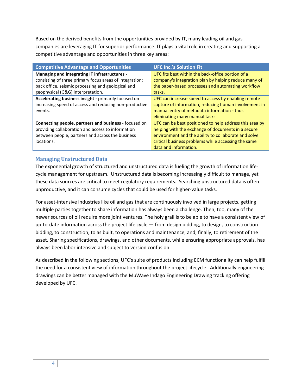Based on the derived benefits from the opportunities provided by IT, many leading oil and gas companies are leveraging IT for superior performance. IT plays a vital role in creating and supporting a competitive advantage and opportunities in three key areas:

| <b>Competitive Advantage and Opportunities</b>          | <b>UFC Inc.'s Solution Fit</b>                          |
|---------------------------------------------------------|---------------------------------------------------------|
| Managing and integrating IT infrastructures -           | UFC fits best within the back-office portion of a       |
| consisting of three primary focus areas of integration: | company's integration plan by helping reduce many of    |
| back office, seismic processing and geological and      | the paper-based processes and automating workflow       |
| geophysical (G&G) interpretation.                       | tasks.                                                  |
| Accelerating business insight - primarily focused on    | UFC can increase speed to access by enabling remote     |
| increasing speed of access and reducing non-productive  | capture of information, reducing human involvement in   |
| events.                                                 | manual entry of metadata information - thus             |
|                                                         | eliminating many manual tasks.                          |
| Connecting people, partners and business - focused on   | UFC can be best positioned to help address this area by |
| providing collaboration and access to information       | helping with the exchange of documents in a secure      |
| between people, partners and across the business        | environment and the ability to collaborate and solve    |
| locations.                                              | critical business problems while accessing the same     |
|                                                         | data and information.                                   |

### <span id="page-3-0"></span>**Managing Unstructured Data**

The exponential growth of structured and unstructured data is fueling the growth of information lifecycle management for upstream. Unstructured data is becoming increasingly difficult to manage, yet these data sources are critical to meet regulatory requirements. Searching unstructured data is often unproductive, and it can consume cycles that could be used for higher-value tasks.

For asset-intensive industries like oil and gas that are continuously involved in large projects, getting multiple parties together to share information has always been a challenge. Then, too, many of the newer sources of oil require more joint ventures. The holy grail is to be able to have a consistent view of up-to-date information across the project life cycle — from design bidding, to design, to construction bidding, to construction, to as built, to operations and maintenance, and, finally, to retirement of the asset. Sharing specifications, drawings, and other documents, while ensuring appropriate approvals, has always been labor intensive and subject to version confusion.

As described in the following sections, UFC's suite of products including ECM functionality can help fulfill the need for a consistent view of information throughout the project lifecycle. Additionally engineering drawings can be better managed with the MuWave Indago Engineering Drawing tracking offering developed by UFC.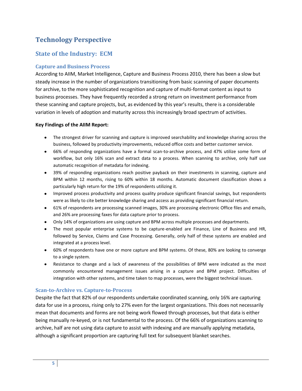# <span id="page-4-0"></span>**Technology Perspective**

### <span id="page-4-1"></span>**State of the Industry: ECM**

### <span id="page-4-2"></span>**Capture and Business Process**

According to AIIM, Market Intelligence, Capture and Business Process 2010, there has been a slow but steady increase in the number of organizations transitioning from basic scanning of paper documents for archive, to the more sophisticated recognition and capture of multi-format content as input to business processes. They have frequently recorded a strong return on investment performance from these scanning and capture projects, but, as evidenced by this year's results, there is a considerable variation in levels of adoption and maturity across this increasingly broad spectrum of activities.

#### **Key Findings of the AIIM Report:**

- The strongest driver for scanning and capture is improved searchability and knowledge sharing across the business, followed by productivity improvements, reduced office costs and better customer service.
- 66% of responding organizations have a formal scan-to-archive process, and 47% utilize some form of workflow, but only 16% scan and extract data to a process. When scanning to archive, only half use automatic recognition of metadata for indexing.
- 39% of responding organizations reach positive payback on their investments in scanning, capture and BPM within 12 months, rising to 60% within 18 months. Automatic document classification shows a particularly high return for the 19% of respondents utilizing it.
- Improved process productivity and process quality produce significant financial savings, but respondents were as likely to cite better knowledge sharing and access as providing significant financial return.
- 61% of respondents are processing scanned images, 30% are processing electronic Office files and emails, and 26% are processing faxes for data capture prior to process.
- Only 14% of organizations are using capture and BPM across multiple processes and departments.
- The most popular enterprise systems to be capture-enabled are Finance, Line of Business and HR, followed by Service, Claims and Case Processing. Generally, only half of these systems are enabled and integrated at a process level.
- 60% of respondents have one or more capture and BPM systems. Of these, 80% are looking to converge to a single system.
- Resistance to change and a lack of awareness of the possibilities of BPM were indicated as the most commonly encountered management issues arising in a capture and BPM project. Difficulties of integration with other systems, and time taken to map processes, were the biggest technical issues.

#### <span id="page-4-3"></span>**Scan-to-Archive vs. Capture-to-Process**

Despite the fact that 82% of our respondents undertake coordinated scanning, only 16% are capturing data for use in a process, rising only to 27% even for the largest organizations. This does not necessarily mean that documents and forms are not being work flowed through processes, but that data is either being manually re-keyed, or is not fundamental to the process. Of the 66% of organizations scanning to archive, half are not using data capture to assist with indexing and are manually applying metadata, although a significant proportion are capturing full text for subsequent blanket searches.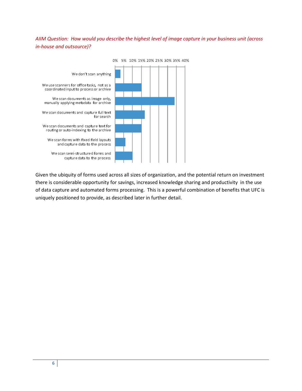### *AIIM Question: How would you describe the highest level of image capture in your business unit (across in-house and outsource)?*



Given the ubiquity of forms used across all sizes of organization, and the potential return on investment there is considerable opportunity for savings, increased knowledge sharing and productivity in the use of data capture and automated forms processing. This is a powerful combination of benefits that UFC is uniquely positioned to provide, as described later in further detail.

**6**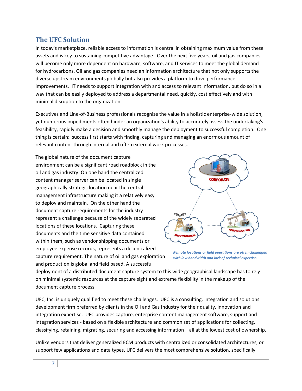### <span id="page-6-0"></span>**The UFC Solution**

In today's marketplace, reliable access to information is central in obtaining maximum value from these assets and is key to sustaining competitive advantage. Over the next five years, oil and gas companies will become only more dependent on hardware, software, and IT services to meet the global demand for hydrocarbons. Oil and gas companies need an information architecture that not only supports the diverse upstream environments globally but also provides a platform to drive performance improvements. IT needs to support integration with and access to relevant information, but do so in a way that can be easily deployed to address a departmental need, quickly, cost effectively and with minimal disruption to the organization.

Executives and Line-of-Business professionals recognize the value in a holistic enterprise-wide solution, yet numerous impediments often hinder an organization's ability to accurately assess the undertaking's feasibility, rapidly make a decision and smoothly manage the deployment to successful completion. One thing is certain: success first starts with finding, capturing and managing an enormous amount of relevant content through internal and often external work processes.

The global nature of the document capture environment can be a significant road roadblock in the oil and gas industry. On one hand the centralized content manager server can be located in single geographically strategic location near the central management infrastructure making it a relatively easy to deploy and maintain. On the other hand the document capture requirements for the industry represent a challenge because of the widely separated locations of these locations. Capturing these documents and the time sensitive data contained within them, such as vendor shipping documents or employee expense records, represents a decentralized capture requirement. The nature of oil and gas exploration and production is global and field based. A successful



*Remote locations or field operations are often challenged with low bandwidth and lack of technical expertise.*

deployment of a distributed document capture system to this wide geographical landscape has to rely on minimal systemic resources at the capture sight and extreme flexibility in the makeup of the document capture process.

UFC, Inc. is uniquely qualified to meet these challenges. UFC is a consulting, integration and solutions development firm preferred by clients in the Oil and Gas Industry for their quality, innovation and integration expertise. UFC provides capture, enterprise content management software, support and integration services - based on a flexible architecture and common set of applications for collecting, classifying, retaining, migrating, securing and accessing information – all at the lowest cost of ownership.

Unlike vendors that deliver generalized ECM products with centralized or consolidated architectures, or support few applications and data types, UFC delivers the most comprehensive solution, specifically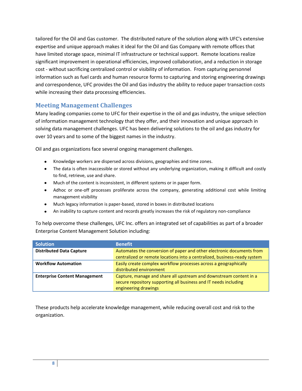tailored for the Oil and Gas customer. The distributed nature of the solution along with UFC's extensive expertise and unique approach makes it ideal for the Oil and Gas Company with remote offices that have limited storage space, minimal IT infrastructure or technical support. Remote locations realize significant improvement in operational efficiencies, improved collaboration, and a reduction in storage cost - without sacrificing centralized control or visibility of information. From capturing personnel information such as fuel cards and human resource forms to capturing and storing engineering drawings and correspondence, UFC provides the Oil and Gas industry the ability to reduce paper transaction costs while increasing their data processing efficiencies.

### <span id="page-7-0"></span>**Meeting Management Challenges**

Many leading companies come to UFC for their expertise in the oil and gas industry, the unique selection of information management technology that they offer, and their innovation and unique approach in solving data management challenges. UFC has been delivering solutions to the oil and gas industry for over 10 years and to some of the biggest names in the industry.

Oil and gas organizations face several ongoing management challenges.

- Knowledge workers are dispersed across divisions, geographies and time zones.
- The data is often inaccessible or stored without any underlying organization, making it difficult and costly to find, retrieve, use and share.
- Much of the content is inconsistent, in different systems or in paper form.
- Adhoc or one-off processes proliferate across the company, generating additional cost while limiting management visibility
- Much legacy information is paper-based, stored in boxes in distributed locations
- An inability to capture content and records greatly increases the risk of regulatory non-compliance  $\bullet$

To help overcome these challenges, UFC Inc. offers an integrated set of capabilities as part of a broader Enterprise Content Management Solution including:

| <b>Solution</b>                      | <b>Benefit</b>                                                            |
|--------------------------------------|---------------------------------------------------------------------------|
| <b>Distributed Data Capture</b>      | Automates the conversion of paper and other electronic documents from     |
|                                      | centralized or remote locations into a centralized, business-ready system |
| <b>Workflow Automation</b>           | Easily create complex workflow processes across a geographically          |
|                                      | distributed environment                                                   |
| <b>Enterprise Content Management</b> | Capture, manage and share all upstream and downstream content in a        |
|                                      | secure repository supporting all business and IT needs including          |
|                                      | engineering drawings                                                      |

These products help accelerate knowledge management, while reducing overall cost and risk to the organization.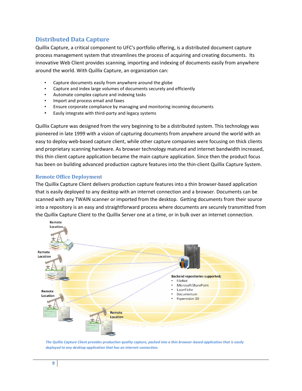### <span id="page-8-0"></span>**Distributed Data Capture**

Quillix Capture, a critical component to UFC's portfolio offering, is a distributed document capture process management system that streamlines the process of acquiring and creating documents. Its innovative Web Client provides scanning, importing and indexing of documents easily from anywhere around the world. With Quillix Capture, an organization can:

- Capture documents easily from anywhere around the globe
- Capture and index large volumes of documents securely and efficiently
- Automate complex capture and indexing tasks
- Import and process email and faxes
- Ensure corporate compliance by managing and monitoring incoming documents
- Easily integrate with third-party and legacy systems

Quillix Capture was designed from the very beginning to be a distributed system. This technology was pioneered in late 1999 with a vision of capturing documents from anywhere around the world with an easy to deploy web-based capture client, while other capture companies were focusing on thick clients and proprietary scanning hardware. As browser technology matured and internet bandwidth increased, this thin client capture application became the main capture application. Since then the product focus has been on building advanced production capture features into the thin-client Quillix Capture System.

#### <span id="page-8-1"></span>**Remote Office Deployment**

The Quillix Capture Client delivers production capture features into a thin browser-based application that is easily deployed to any desktop with an internet connection and a browser. Documents can be scanned with any TWAIN scanner or imported from the desktop. Getting documents from their source into a repository is an easy and straightforward process where documents are securely transmitted from the Quillix Capture Client to the Quillix Server one at a time, or in bulk over an internet connection.



*The Quillix Capture Client provides production quality capture, packed into a thin browser-based application that is easily deployed to any desktop application that has an internet connection.*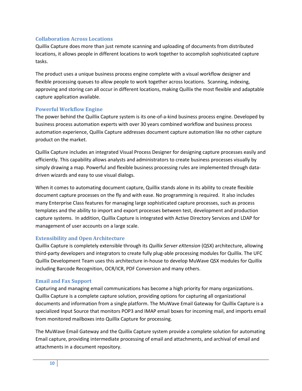#### <span id="page-9-0"></span>**Collaboration Across Locations**

Quillix Capture does more than just remote scanning and uploading of documents from distributed locations, it allows people in different locations to work together to accomplish sophisticated capture tasks.

The product uses a unique business process engine complete with a visual workflow designer and flexible processing queues to allow people to work together across locations. Scanning, indexing, approving and storing can all occur in different locations, making Quillix the most flexible and adaptable capture application available.

#### <span id="page-9-1"></span>**Powerful Workflow Engine**

The power behind the Quillix Capture system is its one-of-a-kind business process engine. Developed by business process automation experts with over 30 years combined workflow and business process automation experience, Quillix Capture addresses document capture automation like no other capture product on the market.

Quillix Capture includes an integrated Visual Process Designer for designing capture processes easily and efficiently. This capability allows analysts and administrators to create business processes visually by simply drawing a map. Powerful and flexible business processing rules are implemented through datadriven wizards and easy to use visual dialogs.

When it comes to automating document capture, Quillix stands alone in its ability to create flexible document capture processes on the fly and with ease. No programming is required. It also includes many Enterprise Class features for managing large sophisticated capture processes, such as process templates and the ability to import and export processes between test, development and production capture systems. In addition, Quillix Capture is integrated with Active Directory Services and LDAP for management of user accounts on a large scale.

#### <span id="page-9-2"></span>**Extensibility and Open Architecture**

Quillix Capture is completely extensible through its *Quillix Server eXtension* (QSX) architecture, allowing third-party developers and integrators to create fully plug-able processing modules for Quillix. The UFC Quillix Development Team uses this architecture in-house to develop MuWave QSX modules for Quillix including Barcode Recognition, OCR/ICR, PDF Conversion and many others.

### <span id="page-9-3"></span>**Email and Fax Support**

Capturing and managing email communications has become a high priority for many organizations. Quillix Capture is a complete capture solution, providing options for capturing all organizational documents and information from a single platform. The MuWave Email Gateway for Quillix Capture is a specialized Input Source that monitors POP3 and IMAP email boxes for incoming mail, and imports email from monitored mailboxes into Quillix Capture for processing.

The MuWave Email Gateway and the Quillix Capture system provide a complete solution for automating Email capture, providing intermediate processing of email and attachments, and archival of email and attachments in a document repository.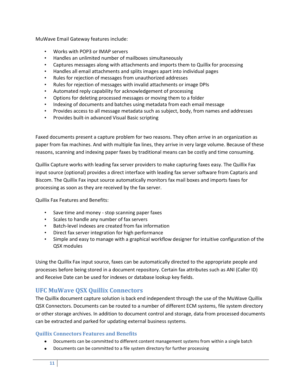MuWave Email Gateway features include:

- Works with POP3 or IMAP servers
- Handles an unlimited number of mailboxes simultaneously
- Captures messages along with attachments and imports them to Quillix for processing
- Handles all email attachments and splits images apart into individual pages
- Rules for rejection of messages from unauthorized addresses
- Rules for rejection of messages with invalid attachments or image DPIs
- Automated reply capability for acknowledgement of processing
- Options for deleting processed messages or moving them to a folder
- Indexing of documents and batches using metadata from each email message
- Provides access to all message metadata such as subject, body, from names and addresses
- Provides built-in advanced Visual Basic scripting

Faxed documents present a capture problem for two reasons. They often arrive in an organization as paper from fax machines. And with multiple fax lines, they arrive in very large volume. Because of these reasons, scanning and indexing paper faxes by traditional means can be costly and time consuming.

Quillix Capture works with leading fax server providers to make capturing faxes easy. The Quillix Fax input source (optional) provides a direct interface with leading fax server software from Captaris and Biscom. The Quillix Fax input source automatically monitors fax mail boxes and imports faxes for processing as soon as they are received by the fax server.

Quillix Fax Features and Benefits:

- Save time and money stop scanning paper faxes
- Scales to handle any number of fax servers
- Batch-level indexes are created from fax information
- Direct fax server integration for high performance
- Simple and easy to manage with a graphical workflow designer for intuitive configuration of the QSX modules

Using the Quillix Fax input source, faxes can be automatically directed to the appropriate people and processes before being stored in a document repository. Certain fax attributes such as ANI (Caller ID) and Receive Date can be used for indexes or database lookup key fields.

### <span id="page-10-0"></span>**UFC MuWave QSX Quillix Connectors**

The Quillix document capture solution is back end independent through the use of the MuWave Quillix QSX Connectors. Documents can be routed to a number of different ECM systems, file system directory or other storage archives. In addition to document control and storage, data from processed documents can be extracted and parked for updating external business systems.

### <span id="page-10-1"></span>**Quillix Connectors Features and Benefits**

- Documents can be committed to different content management systems from within a single batch
- Documents can be committed to a file system directory for further processing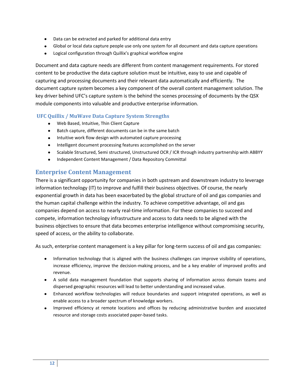- Data can be extracted and parked for additional data entry
- Global or local data capture people use only one system for all document and data capture operations
- Logical configuration through Quillix's graphical workflow engine  $\bullet$

Document and data capture needs are different from content management requirements. For stored content to be productive the data capture solution must be intuitive, easy to use and capable of capturing and processing documents and their relevant data automatically and efficiently. The document capture system becomes a key component of the overall content management solution. The key driver behind UFC's capture system is the behind the scenes processing of documents by the QSX module components into valuable and productive enterprise information.

### <span id="page-11-0"></span>**UFC Quillix / MuWave Data Capture System Strengths**

- Web Based, Intuitive, Thin Client Capture
- $\bullet$ Batch capture, different documents can be in the same batch
- Intuitive work flow design with automated capture processing
- Intelligent document processing features accomplished on the server  $\bullet$
- Scalable Structured, Semi structured, Unstructured OCR / ICR through industry partnership with ABBYY
- $\bullet$ Independent Content Management / Data Repository Committal

### <span id="page-11-1"></span>**Enterprise Content Management**

There is a significant opportunity for companies in both upstream and downstream industry to leverage information technology (IT) to improve and fulfill their business objectives. Of course, the nearly exponential growth in data has been exacerbated by the global structure of oil and gas companies and the human capital challenge within the industry. To achieve competitive advantage, oil and gas companies depend on access to nearly real-time information. For these companies to succeed and compete, information technology infrastructure and access to data needs to be aligned with the business objectives to ensure that data becomes enterprise intelligence without compromising security, speed of access, or the ability to collaborate.

As such, enterprise content management is a key pillar for long-term success of oil and gas companies:

- Information technology that is aligned with the business challenges can improve visibility of operations, increase efficiency, improve the decision-making process, and be a key enabler of improved profits and revenue.
- A solid data management foundation that supports sharing of information across domain teams and dispersed geographic resources will lead to better understanding and increased value.
- Enhanced workflow technologies will reduce boundaries and support integrated operations, as well as enable access to a broader spectrum of knowledge workers.
- Improved efficiency at remote locations and offices by reducing administrative burden and associated resource and storage costs associated paper-based tasks.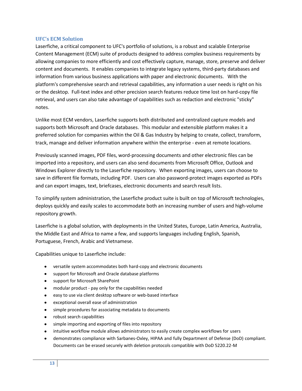#### <span id="page-12-0"></span>**UFC's ECM Solution**

Laserfiche, a critical component to UFC's portfolio of solutions, is a robust and scalable Enterprise Content Management (ECM) suite of products designed to address complex business requirements by allowing companies to more efficiently and cost effectively capture, manage, store, preserve and deliver content and documents. It enables companies to integrate legacy systems, third-party databases and information from various business applications with paper and electronic documents. With the platform's comprehensive search and retrieval capabilities, any information a user needs is right on his or the desktop. Full-text index and other precision search features reduce time lost on hard-copy file retrieval, and users can also take advantage of capabilities such as redaction and electronic "sticky" notes.

Unlike most ECM vendors, Laserfiche supports both distributed and centralized capture models and supports both Microsoft and Oracle databases. This modular and extensible platform makes it a preferred solution for companies within the Oil & Gas Industry by helping to create, collect, transform, track, manage and deliver information anywhere within the enterprise - even at remote locations.

Previously scanned images, PDF files, word-processing documents and other electronic files can be imported into a repository, and users can also send documents from Microsoft Office, Outlook and Windows Explorer directly to the Laserfiche repository. When exporting images, users can choose to save in different file formats, including PDF. Users can also password-protect images exported as PDFs and can export images, text, briefcases, electronic documents and search result lists.

To simplify system administration, the Laserfiche product suite is built on top of Microsoft technologies, deploys quickly and easily scales to accommodate both an increasing number of users and high-volume repository growth.

Laserfiche is a global solution, with deployments in the United States, Europe, Latin America, Australia, the Middle East and Africa to name a few, and supports languages including English, Spanish, Portuguese, French, Arabic and Vietnamese.

Capabilities unique to Laserfiche include:

- versatile system accommodates both hard-copy and electronic documents
- support for Microsoft and Oracle database platforms
- support for Microsoft SharePoint
- modular product pay only for the capabilities needed
- easy to use via client desktop software or web-based interface
- exceptional overall ease of administration
- simple procedures for associating metadata to documents
- robust search capabilities
- simple importing and exporting of files into repository
- $\bullet$ intuitive workflow module allows administrators to easily create complex workflows for users
- demonstrates compliance with Sarbanes-Oxley, HIPAA and fully Department of Defense (DoD) compliant. Documents can be erased securely with deletion protocols compatible with DoD 5220.22-M